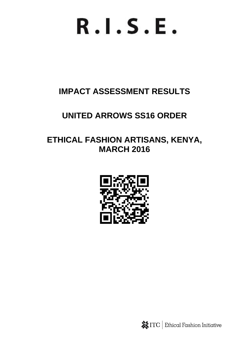# $R.I.S.E.$

# **IMPACT ASSESSMENT RESULTS**

# **UNITED ARROWS SS16 ORDER**

# **ETHICAL FASHION ARTISANS, KENYA, MARCH 2016**



**※ITC** | Ethical Fashion Initiative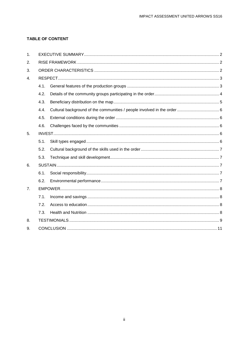#### **TABLE OF CONTENT**

| $\mathbf{1}$ . |      |  |  |
|----------------|------|--|--|
| 2.             |      |  |  |
| 3.             |      |  |  |
| $\mathbf{4}$ . |      |  |  |
|                | 4.1. |  |  |
|                | 4.2. |  |  |
|                | 4.3. |  |  |
|                | 4.4. |  |  |
|                | 4.5. |  |  |
|                | 4.6. |  |  |
| 5.             |      |  |  |
|                | 5.1. |  |  |
|                | 5.2. |  |  |
|                | 5.3. |  |  |
| 6.             |      |  |  |
|                | 6.1. |  |  |
|                | 6.2. |  |  |
| 7 <sub>1</sub> |      |  |  |
|                | 7.1. |  |  |
|                | 7.2. |  |  |
|                | 7.3. |  |  |
| 8.             |      |  |  |
| 9.             |      |  |  |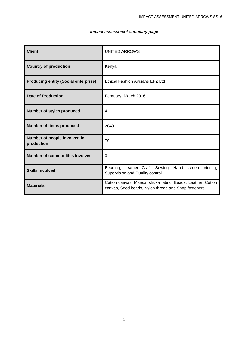#### *Impact assessment summary page*

| <b>Client</b>                               | UNITED ARROWS                                                                                                     |
|---------------------------------------------|-------------------------------------------------------------------------------------------------------------------|
| <b>Country of production</b>                | Kenya                                                                                                             |
| <b>Producing entity (Social enterprise)</b> | <b>Ethical Fashion Artisans EPZ Ltd</b>                                                                           |
| <b>Date of Production</b>                   | February -March 2016                                                                                              |
| <b>Number of styles produced</b>            | 4                                                                                                                 |
| <b>Number of items produced</b>             | 2040                                                                                                              |
| Number of people involved in<br>production  | 79                                                                                                                |
| <b>Number of communities involved</b>       | 3                                                                                                                 |
| <b>Skills involved</b>                      | Beading, Leather Craft, Sewing, Hand screen printing,<br>Supervision and Quality control                          |
| <b>Materials</b>                            | Cotton canvas, Maasai shuka fabric, Beads, Leather, Cotton<br>canvas, Seed beads, Nylon thread and Snap fasteners |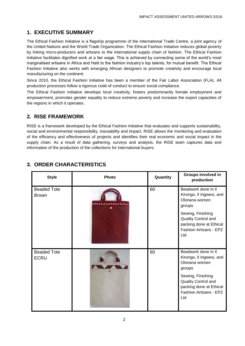# <span id="page-3-0"></span>**1. EXECUTIVE SUMMARY**

The Ethical Fashion Initiative is a flagship programme of the International Trade Centre, a joint agency of the United Nations and the World Trade Organization. The Ethical Fashion Initiative reduces global poverty by linking micro-producers and artisans to the international supply chain of fashion. The Ethical Fashion Initiative facilitates dignified work at a fair wage. This is achieved by connecting some of the world's most marginalised artisans in Africa and Haiti to the fashion industry's top talents, for mutual benefit. The Ethical Fashion Initiative also works with emerging African designers to promote creativity and encourage local manufacturing on the continent.

Since 2010, the Ethical Fashion Initiative has been a member of the Fair Labor Association (FLA). All production processes follow a rigorous code of conduct to ensure social compliance.

The Ethical Fashion Initiative develops local creativity, fosters predominantly female employment and empowerment, promotes gender equality to reduce extreme poverty and increase the export capacities of the regions in which it operates.

# <span id="page-3-1"></span>**2. RISE FRAMEWORK**

RISE is a framework developed by the Ethical Fashion Initiative that evaluates and supports sustainability, social and environmental responsibility, traceability and impact. RISE allows the monitoring and evaluation of the efficiency and effectiveness of projects and identifies their real economic and social impact in the supply chain. As a result of data gathering, surveys and analysis, the RISE team captures data and information of the production of the collections for international buyers.

| <b>Style</b>                       | Photo | Quantity | <b>Groups involved in</b><br>production                                                              |
|------------------------------------|-------|----------|------------------------------------------------------------------------------------------------------|
| <b>Beaded Tote</b><br><b>Brown</b> |       | 60       | Beadwork done in II<br>Kirongo, II Ingwesi, and<br>Olonana women<br>groups                           |
|                                    |       |          | Sewing, Finishing<br>Quality Control and<br>packing done at Ethical<br>Fashion Artisans - EPZ<br>Ltd |
| <b>Beaded Tote</b><br><b>ECRU</b>  |       | 60       | Beadwork done in II<br>Kirongo, II Ingwesi, and<br>Olonana women<br>groups                           |
|                                    |       |          | Sewing, Finishing<br>Quality Control and<br>packing done at Ethical<br>Fashion Artisans - EPZ<br>Ltd |

# <span id="page-3-2"></span>**3. ORDER CHARACTERISTICS**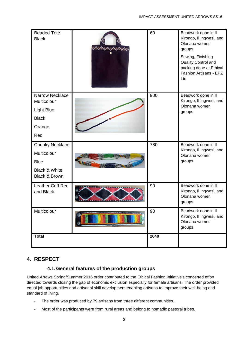| <b>Beaded Tote</b><br><b>Black</b>                                                                           | 60   | Beadwork done in II<br>Kirongo, Il Ingwesi, and<br>Olonana women<br>groups<br>Sewing, Finishing<br>Quality Control and<br>packing done at Ethical<br>Fashion Artisans - EPZ<br>Ltd |
|--------------------------------------------------------------------------------------------------------------|------|------------------------------------------------------------------------------------------------------------------------------------------------------------------------------------|
| <b>Narrow Necklace</b><br>Multicolour<br><b>Light Blue</b><br><b>Black</b><br>Orange<br>Red                  | 900  | Beadwork done in II<br>Kirongo, II Ingwesi, and<br>Olonana women<br>groups                                                                                                         |
| <b>Chunky Necklace</b><br>Multicolour<br><b>Blue</b><br><b>Black &amp; White</b><br><b>Black &amp; Brown</b> | 780  | Beadwork done in II<br>Kirongo, II Ingwesi, and<br>Olonana women<br>groups                                                                                                         |
| Leather Cuff Red<br>and Black                                                                                | 90   | Beadwork done in II<br>Kirongo, II Ingwesi, and<br>Olonana women<br>groups                                                                                                         |
| Multicolour                                                                                                  | 90   | Beadwork done in II<br>Kirongo, II Ingwesi, and<br>Olonana women<br>groups                                                                                                         |
| <b>Total</b>                                                                                                 | 2040 |                                                                                                                                                                                    |

# <span id="page-4-0"></span>**4. RESPECT**

# **4.1.General features of the production groups**

<span id="page-4-1"></span>United Arrows Spring/Summer 2016 order contributed to the Ethical Fashion Initiative's concerted effort directed towards closing the gap of economic exclusion especially for female artisans. The order provided equal job opportunities and artisanal skill development enabling artisans to improve their well-being and standard of living.

- The order was produced by 79 artisans from three different communities.
- Most of the participants were from rural areas and belong to nomadic pastoral tribes.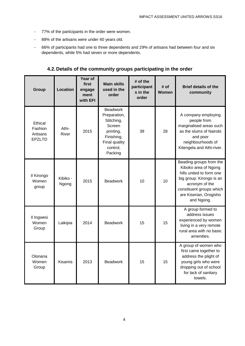- 77% of the participants in the order were women.
- 88% of the artisans were under 40 years old.
- 66% of participants had one to three dependents and 29% of artisans had between four and six dependents, while 5% had seven or more dependents.

<span id="page-5-0"></span>

| Group                                           | <b>Location</b>   | Year of<br>first<br>engage<br>ment<br>with EFI | <b>Main skills</b><br>used in the<br>order                                                                                 | $#$ of the<br>participant<br>s in the<br>order | # of<br>Women | <b>Brief details of the</b><br>community                                                                                                                                                      |
|-------------------------------------------------|-------------------|------------------------------------------------|----------------------------------------------------------------------------------------------------------------------------|------------------------------------------------|---------------|-----------------------------------------------------------------------------------------------------------------------------------------------------------------------------------------------|
| Ethical<br>Fashion<br>Artisans<br><b>EPZLTD</b> | Athi-<br>River    | 2015                                           | <b>Beadwork</b><br>Preparation,<br>Stitching,<br>Screen<br>printing,<br>Finishing,<br>Final quality<br>control,<br>Packing | 39                                             | 28            | A company employing<br>people from<br>marginalised areas such<br>as the slums of Nairobi<br>and poor<br>neighbourhoods of<br>Kitengela and Athi-river.                                        |
| Il Kirongo<br>Women<br>group                    | Kibiko -<br>Ngong | 2015                                           | <b>Beadwork</b>                                                                                                            | 10                                             | 10            | Beading groups from the<br>Kiboko area of Ngong<br>hills united to form one<br>big group. Kirongo is an<br>acronym of the<br>constituent groups which<br>are Kiserian, Orogisho<br>and Ngong. |
| Il Ingwesi<br>Women<br>Group                    | Laikipia          | 2014                                           | <b>Beadwork</b>                                                                                                            | 15                                             | 15            | A group formed to<br>address issues<br>experienced by women<br>living in a very remote<br>rural area with no basic<br>amenities.                                                              |
| Olonana<br>Women<br>Group                       | <b>Kisamis</b>    | 2013                                           | <b>Beadwork</b>                                                                                                            | 15                                             | 15            | A group of women who<br>first came together to<br>address the plight of<br>young girls who were<br>dropping out of school<br>for lack of sanitary<br>towels.                                  |

**4.2.Details of the community groups participating in the order**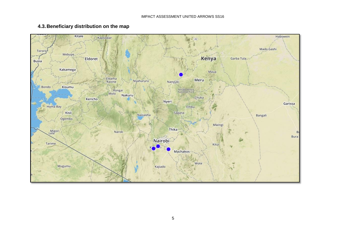<span id="page-6-0"></span>

#### **4.3.Beneficiary distribution on the map**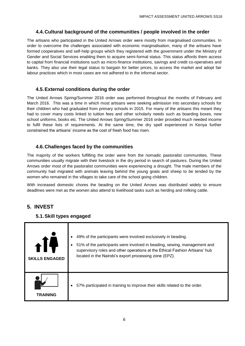#### **4.4.Cultural background of the communities / people involved in the order**

<span id="page-7-0"></span>The artisans who participated in the United Arrows order were mostly from marginalised communities. In order to overcome the challenges associated with economic marginalisation, many of the artisans have formed cooperatives and self-help groups which they registered with the government under the Ministry of Gender and Social Services enabling them to acquire semi-formal status. This status affords them access to capital from financial institutions such as micro-finance institutions, savings and credit co-operatives and banks. They also use their legal status to bargain for better prices, to access the market and adopt fair labour practices which in most cases are not adhered to in the informal sector.

#### **4.5.External conditions during the order**

<span id="page-7-1"></span>The United Arrows Spring/Summer 2016 order was performed throughout the months of February and March 2016. This was a time in which most artisans were seeking admission into secondary schools for their children who had graduated from primary schools in 2015. For many of the artisans this meant they had to cover many costs linked to tuition fees and other scholarly needs such as boarding boxes, new school uniforms, books etc. The United Arrows Spring/Summer 2016 order provided much needed income to fulfil these lists of requirements. At the same time, the dry spell experienced in Kenya further constrained the artisans' income as the cost of fresh food has risen.

#### **4.6.Challenges faced by the communities**

<span id="page-7-2"></span>The majority of the workers fulfilling the order were from the nomadic pastoralist communities. These communities usually migrate with their livestock in the dry period in search of pastures. During the United Arrows order most of the pastoralist communities were experiencing a drought. The male members of the community had migrated with animals leaving behind the young goats and sheep to be tended by the women who remained in the villages to take care of the school going children.

With increased domestic chores the beading on the United Arrows was distributed widely to ensure deadlines were met as the women also attend to livelihood tasks such as herding and milking cattle.

# **5. INVEST**

#### <span id="page-7-3"></span>**5.1.Skill types engaged**

<span id="page-7-4"></span>

| <b>SKILLS ENGAGED</b> | 49% of the participants were involved exclusively in beading.<br>$\bullet$<br>51% of the participants were involved in beading, sewing, management and<br>٠<br>supervisory roles and other operations at the Ethical Fashion Artisans' hub<br>located in the Nairobi's export processing zone (EPZ). |
|-----------------------|------------------------------------------------------------------------------------------------------------------------------------------------------------------------------------------------------------------------------------------------------------------------------------------------------|
| TRAINING              | 57% participated in training to improve their skills related to the order.                                                                                                                                                                                                                           |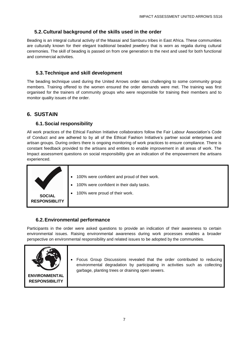#### <span id="page-8-0"></span>**5.2.Cultural background of the skills used in the order**

Beading is an integral cultural activity of the Maasai and Samburu tribes in East Africa. These communities are culturally known for their elegant traditional beaded jewellery that is worn as regalia during cultural ceremonies. The skill of beading is passed on from one generation to the next and used for both functional and commercial activities.

#### **5.3.Technique and skill development**

<span id="page-8-1"></span>The beading technique used during the United Arrows order was challenging to some community group members. Training offered to the women ensured the order demands were met. The training was first organised for the trainers of community groups who were responsible for training their members and to monitor quality issues of the order.

### <span id="page-8-2"></span>**6. SUSTAIN**

#### **6.1.Social responsibility**

<span id="page-8-3"></span>All work practices of the Ethical Fashion Initiative collaborators follow the Fair Labour Association's Code of Conduct and are adhered to by all of the Ethical Fashion Initiative's partner social enterprises and artisan groups. During orders there is ongoing monitoring of work practices to ensure compliance. There is constant feedback provided to the artisans and entities to enable improvement in all areas of work. The Impact assessment questions on social responsibility give an indication of the empowerment the artisans experienced.

|                                       | 100% were confident and proud of their work.<br>$\bullet$<br>100% were confident in their daily tasks.<br>$\bullet$ |
|---------------------------------------|---------------------------------------------------------------------------------------------------------------------|
| <b>SOCIAL</b><br><b>RESPONSIBLITY</b> | 100% were proud of their work.                                                                                      |

#### <span id="page-8-4"></span>**6.2.Environmental performance**

Participants in the order were asked questions to provide an indication of their awareness to certain environmental issues. Raising environmental awareness during work processes enables a broader perspective on environmental responsibility and related issues to be adopted by the communities.

<span id="page-8-5"></span>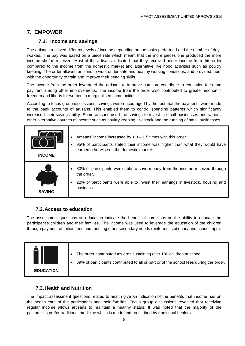#### **7. EMPOWER**

#### **7.1. Income and savings**

<span id="page-9-0"></span>The artisans received different levels of income depending on the tasks performed and the number of days worked. The pay was based on a piece rate which meant that the more pieces one produced the more income she/he received. Most of the artisans indicated that they received better income from this order compared to the income from the domestic market and alternative livelihood activities such as poultry keeping. The order allowed artisans to work under safe and healthy working conditions, and provided them with the opportunity to train and improve their beading skills.

The income from the order leveraged the artisans to improve nutrition, contribute to education fees and pay rent among other improvements. The income from the order also contributed to greater economic freedom and liberty for women in marginalised communities.

According to focus group discussions, savings were encouraged by the fact that the payments were made to the bank accounts of artisans. This enabled them to control spending patterns which significantly increased their saving ability. Some artisans used the savings to invest in small businesses and various other alternative sources of income such as poultry keeping, livestock and the running of small businesses.

| <b>INCOME</b> | Artisans' income increased by $1.3 - 1.5$ times with this order.<br>$\bullet$<br>95% of participants stated their income was higher than what they would have<br>٠<br>earned otherwise on the domestic market. |
|---------------|----------------------------------------------------------------------------------------------------------------------------------------------------------------------------------------------------------------|
| <b>SAVING</b> | 33% of participants were able to save money from the income received through<br>the order.<br>22% of participants were able to invest their earnings in livestock, housing and<br>business.                    |

#### **7.2.Access to education**

<span id="page-9-1"></span>The assessment questions on education indicate the benefits income has on the ability to educate the participant's children and their families. The income was used to leverage the education of the children through payment of tuition fees and meeting other secondary needs (uniforms, stationary and school trips).



#### <span id="page-9-2"></span>**7.3.Health and Nutrition**

The impact assessment questions related to health give an indication of the benefits that income has on the health care of the participants and their families. Focus group discussions revealed that receiving regular income allows artisans to maintain a healthy status. It was noted that the majority of the pastoralists prefer traditional medicine which is made and prescribed by traditional healers.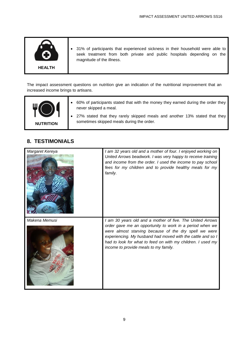

 31% of participants that experienced sickness in their household were able to seek treatment from both private and public hospitals depending on the magnitude of the illness.

The impact assessment questions on nutrition give an indication of the nutritional improvement that an increased income brings to artisans.

| <b>NUTRITION</b> |
|------------------|
|------------------|

# <span id="page-10-0"></span>**8. TESTIMONIALS**

| Margaret Kereya | I am 32 years old and a mother of four. I enjoyed working on<br>United Arrows beadwork. I was very happy to receive training<br>and income from the order. I used the income to pay school<br>fees for my children and to provide healthy meals for my<br>family.                                                                                     |
|-----------------|-------------------------------------------------------------------------------------------------------------------------------------------------------------------------------------------------------------------------------------------------------------------------------------------------------------------------------------------------------|
| Makena Memusi   | I am 30 years old and a mother of five. The United Arrows<br>order gave me an opportunity to work in a period when we<br>were almost starving because of the dry spell we were<br>experiencing. My husband had moved with the cattle and so I<br>had to look for what to feed on with my children. I used my<br>income to provide meals to my family. |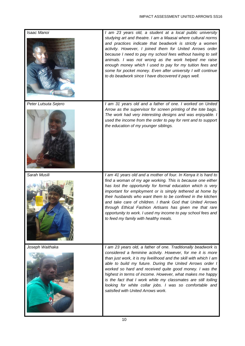| Isaac Manoi          | I am 23 years old, a student at a local public university<br>studying art and theatre. I am a Maasai where cultural norms<br>and practices indicate that beadwork is strictly a women<br>activity. However, I joined them for United Arrows order<br>because I need to pay my school fees without having to sell<br>animals. I was not wrong as the work helped me raise<br>enough money which I used to pay for my tuition fees and<br>some for pocket money. Even after university I will continue<br>to do beadwork since I have discovered it pays well. |
|----------------------|--------------------------------------------------------------------------------------------------------------------------------------------------------------------------------------------------------------------------------------------------------------------------------------------------------------------------------------------------------------------------------------------------------------------------------------------------------------------------------------------------------------------------------------------------------------|
| Peter Lutsuta Sejero | I am 31 years old and a father of one. I worked on United<br>Arrow as the supervisor for screen printing of the tote bags.<br>The work had very interesting designs and was enjoyable. I<br>used the income from the order to pay for rent and to support<br>the education of my younger siblings.                                                                                                                                                                                                                                                           |
| Sarah Musili         | I am 41 years old and a mother of four. In Kenya it is hard to<br>find a woman of my age working. This is because one either<br>has lost the opportunity for formal education which is very<br>important for employment or is simply tethered at home by<br>their husbands who want them to be confined in the kitchen<br>and take care of children. I thank God that United Arrows<br>through Ethical Fashion Artisans has given me that rare<br>opportunity to work. I used my income to pay school fees and<br>to feed my family with healthy meals.      |
| Joseph Waithaka      | I am 23 years old, a father of one. Traditionally beadwork is<br>considered a feminine activity. However, for me it is more<br>than just work, it is my livelihood and the skill with which I am<br>able to build my future. During the United Arrows order I<br>worked so hard and received quite good money. I was the<br>highest in terms of income. However, what makes me happy<br>is the fact that I work while my classmates are still toiling<br>looking for white collar jobs. I was so comfortable and<br>satisfied with United Arrows work.       |